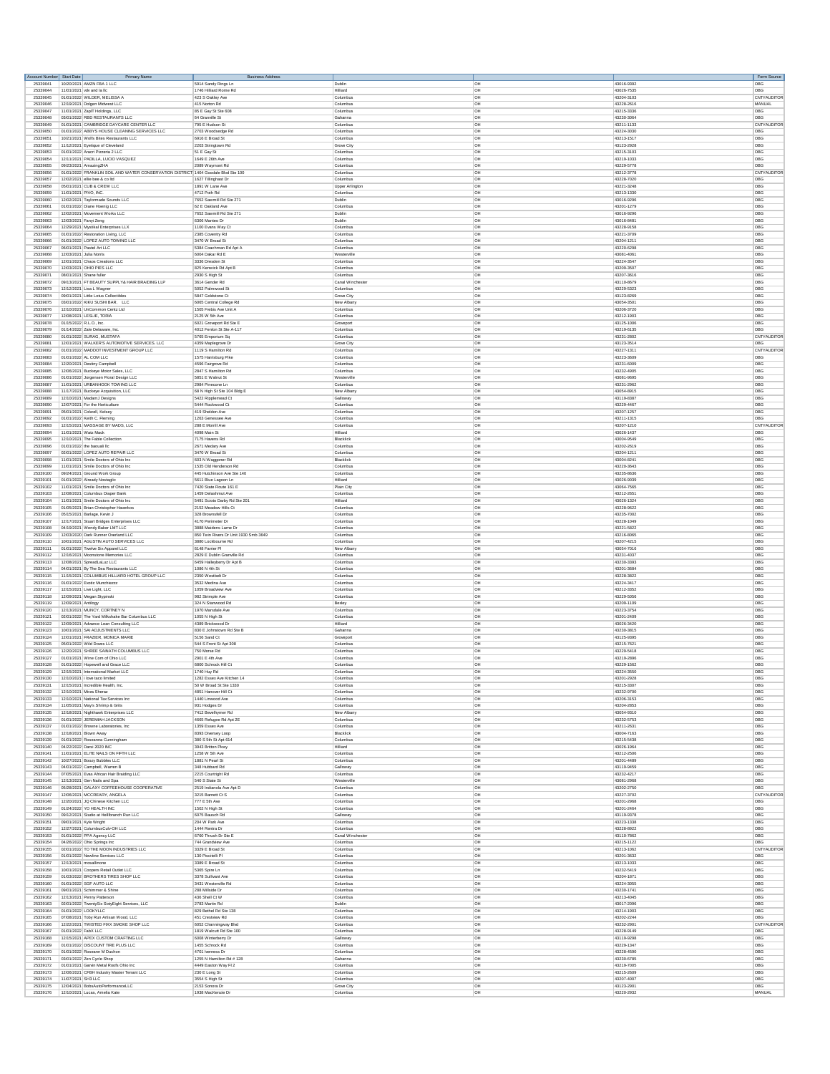| Account Number Start Date | Primary Name<br>10/20/2021 AMZN FBA 1 LLC                                          | <b>Business Address</b>                      |                        |                 |                          | Form Source<br>OBG |
|---------------------------|------------------------------------------------------------------------------------|----------------------------------------------|------------------------|-----------------|--------------------------|--------------------|
| 25339041<br>25339044      | 11/01/2021 vdv and la lic                                                          | 5914 Sandy Rings Ln<br>1746 Hilliard Rome Rd | Dublin<br>Hilliard     | OH<br><b>OH</b> | 43016-9392<br>43026-7535 | OBG                |
| 25339045                  | 01/01/2022 WILDER, MELISSA A                                                       | 423 S Oakley Ave                             | Columbur               | OH              | 43204-3103               | CNTYAUDITOR        |
| 25339046                  | 12/19/2021 Dolgen Midwest LLC                                                      | 415 Norton Rd                                | Columbus               | OH              | 43228-2616               | MANUAL             |
| 25339047                  | 11/01/2021 ZapIT Holdings, LLC                                                     | 85 E Gay St Ste 608                          | Columbus               | <b>OH</b>       | 43215-3336               | OBG                |
| 25339048                  | 03/01/2022 RBD RESTAURANTS LLC                                                     | 64 Granville St                              | Gahanna                | OH              | 43230-3064               | OBG                |
| 25339049                  | 01/01/2021 CAMBRIDGE DAYCARE CENTER LLC                                            | 795 E Hudson St                              | Columbus               | OH              | 43211-1133               | CNTYAUDITOR        |
| 25339050                  | 01/01/2022 ABBYS HOUSE CLEANING SERVICES LLC                                       | 2703 Woodsedge Rd                            | Columbur               | OH              | 43224-3030               | OBG                |
| 25339051                  | 10/21/2021 Wolfs Bites Restaurants LLC                                             | 6916 E Broad St                              | Columbur               | OH              | 43213-1517               | OBG                |
| 25339052                  | 11/12/2021 Eyetique of Cleveland                                                   | 2203 Stringtown Rd                           | Grove City             | <b>OH</b>       | 43123-2928               | OBG                |
| 25339053                  | 01/01/2022 Aracri Pizzeria 2 LLC                                                   | 51 E Gay St                                  | Columbur               | OH              | 43215-3103               | OBG                |
| 25339054                  | 12/11/2021 PADILLA, LUCIO VASQUEZ                                                  | 1649 E 26th Ave                              | Columbus               | OH              | 43219-1033               | OBG                |
| 25339055                  | 09/23/2021 AmazingZHA                                                              | 2089 Waymont Rd                              | Columbus               | <b>OH</b>       | 43229-5778               | OBG                |
| 25339056                  | 01/01/2022 FRANKLIN SOIL AND WATER CONSERVATION DISTRICT 1404 Goodale Blvd Ste 100 |                                              | Columbur               | OH              | 43212-3778               | CNTYAUDITOR        |
| 25339057                  | 12/02/2021 ellie bee & co ltd                                                      | 1627 Tillinghast Dr                          | Columbus               | OH              | 43228-7020               | OBG                |
| 25339058                  | 05/01/2021 CUB & CREW LLC                                                          | 1891 W Lane Ave                              | <b>Upper Arlington</b> | <b>OH</b>       | 43221-3248               | OBG                |
| 25339059                  | 11/01/2021 PIVO, INC.                                                              | 4712 Poth Rd                                 | Columbus               | OH              | 43213-1330               | OBG                |
| 25339060<br>25339061      | 12/02/2021 Taylormade Sounds LLC                                                   | 7652 Sawmill Rd Ste 271                      | Dublin<br>Columbur     | OH<br>OH        | 43016-9296<br>43201-1279 | OBG<br>OBG         |
| 25339062                  | 01/01/2022 Diane Hoenig LLC<br>12/02/2021 Movement Works LLC                       | 62 E Oakland Ave<br>7652 Sawmill Rd Ste 271  | Dublin                 | OH              | 43016-9296               | OBG                |
| 25339063                  | 12/03/2021 Fanyi Zeng                                                              | 6306 Manteo Dr                               | Dublin                 | <b>OH</b>       | 43016-8481               | OBG                |
| 25339064                  | 12/29/2021 Mystikal Enterprises LLX                                                | 1100 Evans Way Ct                            | Columbur               | OH              | 43228-9158               | OBG                |
| 25339065                  | 01/01/2022 Restoration Living, LLC                                                 | 2385 Coventry Rd<br>3470 W Broad St          | Columbus               | OH              | 43221-3709               | OBG<br>OBG         |
| 25339066<br>25339067      | 01/01/2022 LOPEZ AUTO TOWING LLC<br>06/01/2021 Pastel Art LLC                      | 5384 Coachman Rd Apt A                       | Columbus<br>Columbur   | <b>OH</b><br>OH | 43204-1211<br>43220-6298 | OBG                |
| 25339068                  | 12/03/2021 Julia Norris                                                            | 6004 Dakar Rd E                              | Westerville            | OH              | 43081-4061               | OBG                |
| 25339069                  | 12/01/2021 Chaos Creations LLC                                                     | 3336 Dresden St                              | Columbur               | <b>OH</b>       | 43224-3547               | OBG                |
| 25339070                  | 12/03/2021 OHIO PIES LLC                                                           | 825 Kenwick Rd Apt B                         | Columbus               | OH              | 43209-3507               | OBG                |
| 25339071                  | 08/01/2021 Shane fuller                                                            | 2930 S High St                               | Columbus               | OH              | 43207-3616               | OBG                |
| 25339072                  | 09/13/2021 FT BEAUTY SUPPLY& HAIR BRAIDING LLP                                     | 3614 Gender Rd                               | Canal Winch            | OH              | 43110-8679               | OBG                |
| 25339073                  | 12/12/2021 Lisa L Wagner                                                           | 5052 Palmwood St                             | Columbus               | OH              | 43229-5323               | OBG                |
| 25339074                  | 09/01/2021 Little Lotus Collectibles                                               | 5847 Goldstone Ct                            | Grove City             | OH              | 43123-8269               | OBG                |
| 25339075                  | 03/01/2022 KIKU SUSHI BAR, LLC                                                     | 6065 Central College Rd                      | New Alban              | OH              | 43054-3501               | OBG                |
| 25339076                  | 12/10/2021 UnCommon Centz Ltd                                                      | 1505 Frebis Ave Unit A                       | Columbus               | OH              | 43206-3720               | OBG                |
| 25339077                  | 12/08/2021 LESLIE, TORIA                                                           | 2125 W 5th Ave                               | Columbus               | <b>OH</b>       | 43212-1903               | OBG                |
| 25339078                  | 01/15/2022 R.L.O., Inc                                                             | 6021 Groveport Rd Ste E                      | Grovepor               | OH              | 43125-1006               | OBG                |
| 25339079                  | 01/14/2022 Zale Delaware, Inc.                                                     | 4012 Fenlon St Ste A-117                     | Columbus               | OH              | 43219-6135               | OBG                |
| 25339080                  | 01/01/2022 SURAG, MUSTAFA                                                          | 5765 Emporium Sq                             | Columbus               | <b>OH</b>       | 43231-2802               | CNTYAUDITOR        |
| 25339081                  | 12/01/2021 WALKER'S AUTOMOTIVE SERVICES. LLC                                       | 4359 Maplegrove Dr                           | Grove City             | OH              | 43123-3514               | OBG                |
| 25339082                  | 01/01/2022 MADDOT INVESTMENT GROUP LLC                                             | 1119 S Hamilton Rd                           | Columbus               | OH              | 43227-1311               | CNTYAUDITOR        |
| 25339083                  | 01/01/2022 AL COM LLC                                                              | 1575 Harrisburg Pike                         | Columbus               | OH              | 43223-3609               | OBG                |
| 25339084                  | 12/20/2021 Destiny Campbel                                                         | 4596 Fairgrove Rd                            | Columbus               | OH              | 43231-6009               | OBG                |
| 25339085                  | 12/06/2021 Buckeye Motor Sales, LLC                                                | 2847 S Hamilton Rd                           | Columbus               | OH              | 43232-4905               | OBG                |
| 25339086                  | 01/01/2022 Jorgensen Floral Design LLC                                             | 5851 E Walnut St                             | Westerville            | OH              | 43081-9695               | OBG                |
| 25339087                  | 11/01/2021 URBANHOOK TOWING LLC                                                    | 2984 Pinecone Lr                             | Columbus               | OH              | 43231-2962               | OBG                |
| 25339088<br>25339089      | 11/17/2021 Buckeye Acquisition, LLC                                                | 68 N High St Ste 104 Bldg E                  | New Albany             | <b>OH</b><br>OH | 43054-8915<br>43119-8387 | OBG<br>OBG         |
| 25339090                  | 12/10/2021 MadamJ Designs<br>12/07/2021 For the Horticulture                       | 5422 Ripplemead Ct<br>5444 Rockwood Ct       | Galloway<br>Columbur   | OH              | 43229-4467               | OBG                |
| 25339091                  | 05/01/2021 Colwell, Kelsey                                                         | 419 Sheldon Ave                              | Columbus               | <b>OH</b>       | 43207-1257               | OBG                |
| 25339092                  | 01/01/2022 Keith C. Fleming                                                        | 1263 Genessee Ave                            | Columbur               | OH              | 43211-1315               | OBG                |
| 25339093                  | 12/15/2021 MASSAGE BY MADS, LLC                                                    | 288 E Morrill Ave                            | Columbus               | OH              | 43207-1210               | CNTYAUDITOR        |
| 25339094                  |                                                                                    | 4098 Main St                                 | Hilliard               | <b>OH</b>       | 43026-1437               | OBG                |
| 25339095                  | 11/01/2021 Watz Mack<br>12/10/2021 The Fable Collection                            | 7175 Havens Rd                               | Blacklich              | OH              | 43004-9549               | OBG                |
| 25339096                  | 01/01/2022 the baouali llc                                                         | 2671 Medary Ave                              | Columbus               | OH              | 43202-2619               | OBG                |
| 25339097                  | 02/01/2022 LOPEZ AUTO REPAIR LLC                                                   | 3470 W Broad S                               | Columbur               | OH              | 43204-1211               | OBG                |
| 25339098                  | 11/01/2021 Smile Doctors of Ohio Inc                                               | 603 N Waggoner Rd                            | Blacklick              | OH              | 43004-8241               | OBG                |
| 25339099                  | 11/01/2021 Smile Doctors of Ohio Inc.                                              | 1535 Old Henderson Rd                        | Columbus               | <b>OH</b>       | 43220-3643               | OBG                |
| 25339100                  | 09/24/2021 Ground Work Group                                                       | 445 Hutchinson Ave Ste 140                   | Columbu                | OH              | 43235-8636               | OBG                |
| 25339101                  | 01/01/2022 Already Nostaglic                                                       | 5611 Blue Lagoon Ln                          | Hilliard               | OH              | 43026-9039               | OBG                |
| 25339102                  | 11/01/2021 Smile Doctors of Ohio Inc                                               | 7420 State Route 161 E                       | Plain City             | <b>OH</b>       | 43064-7565               | OBG                |
| 25339103                  | 12/08/2021 Columbus Diaper Bank                                                    | 1459 Delashmut Ave                           | Columbu                | OH              | 43212-2651               | OBG                |
| 25339104                  | 11/01/2021 Smile Doctors of Ohio Inc                                               | 5491 Scioto Darby Rd Ste 201                 | Hilliard               | OH              | 43026-1324               | OBG                |
| 25339105                  | 01/05/2021 Brian Christopher Haverkos                                              | 2152 Meadow Hills Ct                         | Columbus               | <b>OH</b>       | 43228-9622               | OBG                |
| 25339106                  | 05/15/2021 Barlage, Kevin J                                                        | 328 Brownsfell Dr                            | Columbus               | OH              | 43235-7002               | OBG                |
| 25339107                  | 12/17/2021 Stuart Bridges Enterprises LLC                                          | 4170 Perimeter Dr                            | Columbus               | OH              | 43228-1049               | OBG                |
| 25339108                  | 04/19/2021 Wendy Baker LMT LLC                                                     | 3888 Maidens Larne Dr                        | Columbus               | OH              | 43221-5822               | OBG                |
| 25339109                  | 12/03/2020 Dark Runner Overland LLC                                                | 850 Twin Rivers Dr Unit 1930 Smb 3649        | Columbus               | OH              | 43216-8065               | OBG                |
| 25339110                  | 10/01/2021 AGUSTIN AUTO SERVICES LLC                                               | 3880 Lockbourne Rd                           | Columbus               | OH              | 43207-4215               | OBG                |
| 25339111                  | 01/01/2022 Twelve Six Apparel LLC                                                  | 6148 Farrier PI                              | New Alban              | OH              | 43054-7016               | OBG                |
| 25339112                  | 12/16/2021 Moonstone Memories LLC                                                  | 2829 E Dublin Granville Rd                   | Columbus               | OH              | 43231-4037               | OBG                |
| 25339113                  | 12/08/2021 SpreadLaLuz LLC                                                         | 6459 Halleyberry Dr Apt B                    | Columbus               | <b>OH</b>       | 43230-3393               | OBG                |
| 25339114                  | 04/01/2021 By The Sea Restaurants LLC                                              | 1086 N 4th St                                | Columbus               | OH              | 43201-3684               | OBG                |
| 25339115                  | 11/15/2021 COLUMBUS HILLIARD HOTEL GROUP LLC                                       | 2350 Westbelt D                              | Columbus               | OH              | 43228-3822               | OBG                |
| 25339116                  | 01/01/2022 Exotic Munchiezzz                                                       | 3532 Medina Ave                              | Columbus               | <b>OH</b>       | 43224-3417               | OBG                |
| 25339117                  | 12/15/2021 Live Light, LLC                                                         | 1059 Broadview Ave                           | Columbus               | OH              | 43212-3352               | OBG                |
| 25339118                  | 12/09/2021 Megan Stypinsk                                                          | 982 Strimple Ave                             | Columbus               | OH              | 43229-5056               | OBG                |
| 25339119                  | 12/09/2021 Antilogy                                                                | 324 N Stanwood Rd                            | Bexley                 | <b>OH</b>       | 43209-1109               | OBG                |
| 25339120                  | 12/13/2021 MUNCY, CORTNEY N                                                        | 1970 Marsdale Ave                            | Columbur               | OH              | 43223-3754               | OBG                |
| 25339121                  | 02/01/2022 The Yard Milkshake Bar Columbus LLC                                     | 1055 N High St                               | Columbus               | OH              | 43201-2409               | OBG                |
| 25339122                  | 12/09/2021 Advance Lean Consulting LLC                                             | 4389 Brickwood D                             | Hilliard               | OH              | 43026-3420               | OBG                |
| 25339123                  | 10/01/2021 SAI ADJUSTMENTS LLC                                                     | 830 E Johnstown Rd Ste B                     | Gahanna                | OH              | 43230-3815               | OBG                |
| 25339124                  | 12/01/2021 FRAZIER, MONICA MARIE                                                   | 5156 Sand Ct                                 | Groveport              | <b>OH</b>       | 43125-9395               | OBG                |
| 25339125                  | 05/01/2022 Wild Doves LLC                                                          | 544 S Front St Apt 308                       | Columbur               | OH              | 43215-7621               | OBG                |
| 25339126                  | 12/20/2021 SHREE SAINATH COLUMBUS LLC                                              | 750 Morse Rd                                 | Columbur               | OH              | 43229-5418               | OBG                |
| 25339127                  | 01/01/2021 Wine Com of Ohio LLC                                                    | 2901 E 4th Ave                               | Columbus               | <b>OH</b>       | 43219-2896               | OBG                |
| 25339128                  | 01/01/2022 Hopewell and Grace LLC                                                  | 6800 Schrock Hill Ct                         | Columbur               | OH              | 43229-1562               | OBG                |
| 25339129                  | 12/15/2021 International Market LLC                                                | 1740 Huy Rd                                  | Columbus               | OH              | 43224-3550               | OBG                |
| 25339130                  | 12/10/2021 i love taco limited                                                     | 1282 Essex Ave Kitchen 14                    | Columbus               | OH              | 43201-2928               | OBG                |
| 25339131                  | 12/15/2021 Incredible Health, Inc.                                                 | 50 W Broad St Ste 1330                       | Columbus               | OH              | 43215-3307               | OBG                |
| 25339132                  | 12/10/2021 Mirza Sheraz                                                            | 4851 Hanover Hill Ct                         | Columbus               | OH              | 43232-9700               | OBG                |
|                           | 25339133 12/10/2021 National Tax Services Inc                                      | 1440 Linwood Ave                             | Columbus               | OH              | 43206-3153               | OBG                |
| 25339134                  | 11/05/2021 May's Shrimp & Grits                                                    | 931 Hodges Dr                                | Columbus               | OH              | 43204-2853               | OBG                |
| 25339135                  | 12/18/2021 Nighthawk Enterprises LLC                                               | 7412 Bevelhymer Rd                           | New Albany             | OH              | 43054-9310               | OBG                |
| 25339137                  | 25339136 01/01/2022 JEREMIAH JACKSON                                               | 4665 Refugee Rd Apt 2E                       | Columbus               | OH              | 43232-5753               | OBG                |
|                           | 01/01/2022 Browne Laboratories, Inc.                                               | 1359 Essex Ave                               | Columbus               | OH              | 43211-2631               | OBG                |
| 25339138                  | 12/18/2021 Blown Away                                                              | 8393 Diversey Loop                           | Blacklick              | <b>OH</b>       | 43004-7163               | OBG                |
| 25339140                  | 25339139 01/01/2022 Roseanna Cunningham                                            | 380 S 5th St Apt 614                         | Columbus               | OH              | 43215-5438               | OBG                |
|                           | 04/22/2022 Darsi 2020 INC                                                          | 3943 Britton Pkwy                            | Hilliard               | OH              | 43026-1964               | OBG                |
| 25339141                  | 11/01/2021 FLITE NAILS ON FIETH LLC                                                | 1258 W 5th Ave                               | Columbus               | <b>OH</b>       | 43212-2506               | OBG                |
| 25339142                  | 10/27/2021 Boozy Bubbles LLC                                                       | 1881 N Pearl St                              | Columbus               | OH              | 43201-4489               | OBG                |
| 25339143                  | 04/01/2022 Campbell, Warren B<br>07/05/2021 Evas African Hair Braiding LLC         | 348 Hubbard Rd                               | Galloway               | OH              | 43119-9459               | OBG                |
| 25339144                  | 12/13/2021 Gen Nails and Spa                                                       | 2215 Courtright Rd                           | Columbus               | <b>OH</b>       | 43232-4217               | OBG                |
| 25339145                  |                                                                                    | 540 S State St                               | Westerville            | OH              | 43081-2968               | OBG                |
| 25339146                  | 05/28/2021 GALAXY COFFEEHOUSE COOPERATIVE                                          | 2519 Indianola Ave Apt D                     | Columbus               | OH              | 43202-2750               | OBG                |
| 25339147                  | 12/06/2021 MCCREARY, ANGELA                                                        | 3215 Barnett Ct S                            | Columbus               | <b>OH</b>       | 43227-3702               | CNTYAUDITOR        |
| 25339148                  | 12/20/2021 JQ Chinese Kitchen LLC                                                  | 777 E 5th Ave                                | Columbus               | OH              | 43201-2968               | OBG                |
| 25339149                  | 01/24/2022 YO HEALTH INC                                                           | 1502 N High St                               | Columbus               | <b>OH</b>       | 43201-2464               | OBG                |
| 25339150                  | 09/12/2021 Studio at Hellbranch Run LLC                                            | 6075 Bausch Rd                               | Galloway               | <b>OH</b>       | 43119-9378               | OBG                |
| 25339151                  | 09/01/2021 Kyle Wright                                                             | 204 W Park Ave                               | Columbus               | OH              | 43223-1338               | OBG                |
| 25339152                  | 12/27/2021 ColumbusCulv-OH LLC                                                     | 1444 Rentra Dr                               | Columbus               | <b>OH</b>       | 43228-8922               | OBG                |
| 25339153                  | 01/01/2022 PPA Agency LLC                                                          | 6760 Thrush Dr Ste E                         | Canal Wincheste        | OH              | 43110-7862               | OBG                |
| 25339154                  | 04/26/2022 Ohio Springs Inc                                                        | 744 Grandview Ave                            | Columbus               | OH              | 43215-1122               | OBG                |
| 25339155                  | 02/01/2022 TO THE MOON INDUSTRIES LLC                                              | 3329 F Rmad St                               | Columbus               | <b>OH</b>       | 43213-1062               | CNTYAUDITOR        |
| 25339156                  | 01/01/2022 Newline Services LLC                                                    | 130 Piscitelli Pl                            | Columbus               | OH              | 43201-3632               | OBG                |
| 25339157                  | 12/13/2021 mosallinone                                                             | 3389 E Broad St                              | Columbus               | OH              | 43213-1033               | OBG                |
|                           | 25339158   10/01/2021 Coopers Retail Outlet LLC                                    | 5365 Spire Ln                                | Columbus               | OH              | 43232-5419               | OBG                |
| 25339159                  | 01/03/2022 BROTHERS TIRES SHOP LLC                                                 | 3378 Sullivant Ave                           | Columbus               | OH              | 43204-1871               | OBG                |
| 25339160                  | 01/01/2022 SGF AUTO LLC                                                            | 3431 Westerville Rd                          | Columbus               | OH              | 43224-3055               | OBG                |
| 25339161                  | 09/01/2021 Schimmer & Shine                                                        | 288 Millside Dr                              | Columbus               | OH              | 43230-1741               | OBG                |
| 25339162                  | 12/13/2021 Penny Patterson                                                         | 436 Shell Ct W                               | Columbus               | OH              | 43213-4045               | OBG                |
| 25339163                  | 02/01/2022 TwentySix SixtyEight Services, LLC                                      | 2783 Martin Rd                               | Dublin                 | <b>OH</b>       | 43017-2096               | OBG                |
| 25339165                  | 25339164 01/01/2022 LOOKYLLC                                                       | 829 Bethel Rd Ste 138                        | Columbus               | OH              | 43214-1903               | OBG                |
|                           | 07/08/2021 Toby Run Artisan Wood, LLC                                              | 451 Crestview Rd                             | Columbus               | OH              | 43202-2244               | OBG                |
| 25339166                  | 12/22/2021 TWISTED FIXX SMOKE SHOP LLC                                             | 6052 Channingway Blvd                        | Columbus               | <b>OH</b>       | 43232-2901               | CNTYAUDITOR        |
| 25339167                  | 01/01/2022 FabX LLC                                                                | 1819 Walcutt Rd Ste 100                      | Columbus               | OH              | 43228-9149               | OBG                |
| 25339168                  | 12/15/2021 APEX CUSTOM CRAFTING LLC                                                | 6008 Winterberry Dr                          | Galloway               | OH              | 43119-9298               | OBG                |
| 25339169                  | 01/01/2022 DISCOUNT TIRE PLUS LLC                                                  | 1455 Schrock Rd                              | Columbus               | <b>OH</b>       | 43229-1347               | OBG                |
|                           | 25339170 01/01/2022 Roseann M Duchon                                               | 4701 Iverness Dr                             | Columbus               | OH              | 43228-4590               | OBG                |
| 25339171                  | 03/01/2022 Zen Cycle Shop                                                          | 1255 N Hamilton Rd # 128                     | Gahanna                | OH              | 43230-6785               | OBG                |
| 25339172                  | 01/01/2021 Garvin Metal Roofs Ohio Inc.                                            | 4449 Easton Way FI 2                         | Columbus               | OH              | 43219-7005               | OBG                |
| 25339173                  | 12/06/2021 CFBH Industry Master Tenant LLC                                         | 230 E Long St                                | Columbus               | OH              | 43215-2609               | OBG                |
| 25339174                  | 11/07/2021 SH3 LLC                                                                 | 3554 S High St                               | Columbus               | <b>OH</b>       | 43207-4007               | OBG                |
| 25339175                  | 12/04/2021 BobsAutoPerformanceLLC                                                  | 2153 Sonora Dr                               | Grove City             | OH              | 43123-2901               | OBG                |
|                           | 25339176 12/10/2021 Lucas, Amelia Kate                                             | 1938 MacKenzie Dr                            | Columbus               | OH              | 43220-2932               | MANUAL             |